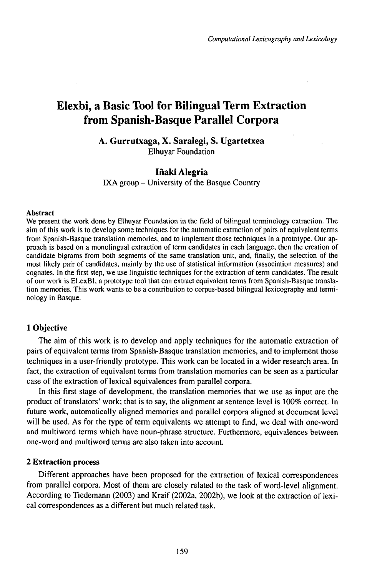# Elexbi, a Basic Tool for Bilingual Term Extraction from Spanish-Basque Parallel Corpora

# **A. Gurrutxaga, X. Saralegi, S. Ugartetxea** Elhuyar Foundation

# **Iñaki Alegria**

IXA group - University of the Basque Country

#### Abstract

We present the work done by Elhuyar Foundation in the field of bilingual terminology extraction. The aim of this work is to develop some techniques for the automatic extraction of pairs of equivalent terms from Spanish-Basque translation memories, and to implement those techniques in a prototype. Our approach is based on a monolingual extraction of term candidates in each language, then the creation of candidate bigrams from both segments of the same translation unit, and, finally, the selection of the most likely pair of candidates, mainly by the use of statistical information (association measures) and cognates. In the first step, we use linguistic techniques for the extraction of term candidates. The result of our work is ELexBI, a prototype tool that can extract equivalent terms from Spanish-Basque translation memories. This work wants to be a contribution to corpus-based bilingual lexicography and terminology in Basque.

# **1 Objective**

The aim of this work is to develop and apply techniques for the automatic extraction of pairs ofequivalent terms from Spanish-Basque translation memories, and to implement those techniques in a user-friendly prototype. This work can be located in a wider research area. In fact, the extraction of equivalent terms from translation memories can be seen as a particular case of the extraction of lexical equivalences from parallel corpora.

In this first stage of development, the translation memories that we use as input are the product of translators' work; that is to say, the alignment at sentence level is 100% correct. In future work, automatically aligned memories and parallel corpora aligned at document level will be used. As for the type of term equivalents we attempt to find, we deal with one-word and multiword terms which have noun-phrase structure. Furthermore, equivalences between one-word and multiword terms are also taken into account.

### **2 Extraction process**

Different approaches have been proposed for the extraction of lexical correspondences from parallel corpora. Most of them are closely related to the task of word-level alignment. According to Tiedemann (2003) and Kraif (2002a, 2002b), we look at the extraction of lexical correspondences as a different but much related task.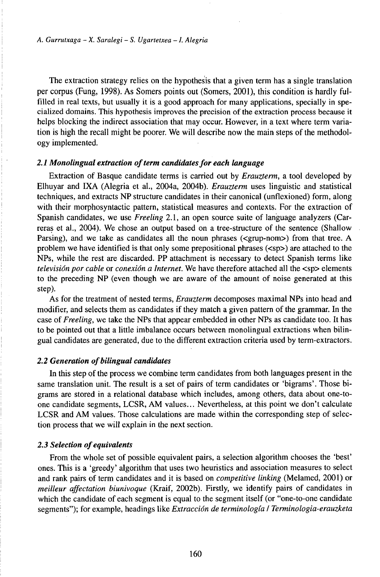The extraction strategy relies on the hypothesis that a given term has a single translation per corpus (Fung, 1998). As Somers points out (Somers, 2001), this condition is hardly fulfilled in real texts, but usually it is a good approach for many applications, specially in specialized domains. This hypothesis improves the precision of the extraction process because it helps blocking the indirect association that may occur. However, in a text where term variation is high the recall might be poorer. We will describe now the main steps of the methodology implemented.

#### *2.1 Monolingual extraction ofterm candidatesfor each Uinguage*

Extraction of Basque candidate terms is carried out by *Erauzterm,* a tool developed by Elhuyar and IXA (Alegria et al., 2004a, 2004b). *Erauzterm* uses linguistic and statistical techniques, and extracts NP structure candidates in their canonical (unflexioned) form, along with their morphosyntactic pattern, statistical measures and contexts. For the extraction of Spanish candidates, we use *Freeling* 2.1, an open source suite of language analyzers (Carreras et al., 2004). We chose an output based on a tree-structure of the sentence (Shallow Parsing), and we take as candidates all the noun phrases (<grup-nom>) from that tree. A problem we have identified is that only some prepositional phrases  $(\leq sp$ ) are attached to the NPs, while the rest are discarded. PP attachment is necessary to detect Spanish terms like *television por cable* or *conexión a Internet.* We have therefore attached all the <sp> elements to the preceding NP (even though we are aware of the amount of noise generated at this step).

As for the treatment of nested terms, *Erauzterm* decomposes maximal NPs into head and modifier, and selects them as candidates if they match a given pattern of the grammar. In the case of *Freeling,* we take the NPs that appear embedded in other NPs as candidate too. It has to be pointed out that a little imbalance occurs between monolingual extractions when bilingual candidates are generated, due to the different extraction criteria used by term-extractors.

### *2.2 Generation ofbilingual candidates*

In this step of the process we combine term candidates from both languages present in the same translation unit. The result is a set of pairs of term candidates or 'bigrams'. Those bigrams are stored in a relational database which includes, among others, data about one-toone candidate segments, LCSR, AM values... Nevertheless, at this point we don't calculate LCSR and AM values. Those calculations are made within the corresponding step of selection process that we will explain in the next section.

#### *2.3 Selection ofequivalents*

From the whole set of possible equivalent pairs, a selection algorithm chooses the 'best' ones. This is a 'greedy' algorithm that uses two heuristics and association measures to select and rank pairs of term candidates and it is based on *competitive linking* (Melamed, 2001) or *meilleur affectation biunivoque* (Kraif, 2002b). Firstly, we identify pairs of candidates in which the candidate of each segment is equal to the segment itself (or "one-to-one candidate segments"); for example, headings like *Extracción de terminología I Terminologia-erauzketa*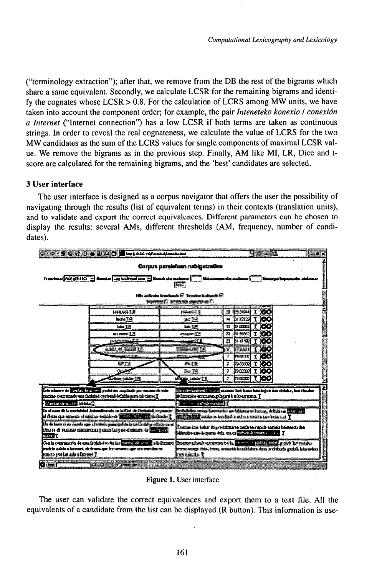("terminology extraction"); after that, we remove from the DB the rest of the bigrams which share a same equivalent. Secondly, we calculate LCSR for the remaining bigrams and identify the cognates whose  $LCSR > 0.8$ . For the calculation of LCRS among MW units, we have taken into account the component order: for example, the pair *Inteneteko konexio I conexión* a Internet ("Internet connection") has a low LCSR if both terms are taken as continuous strings. In order to reveal the real cognateness, we calculate the value of LCRS for the two MW candidates as the sum of the LCRS values for single components of maximal LCSR value. We remove the bigrams as in the previous step. Finally, AM like MI, LR, Dice and tscore are calculated for the remaining bigrams, and the 'best' candidates are selected.

# 3 User interface

The user interface is designed as a corpus navigator that offers the user the possibility of navigating through the results (list of equivalent terms) in their contexts (translation units). and to validate and export the correct equivalences. Different parameters can be chosen to display the results: several AMs, different thresholds (AM, frequency, number of candidates).



Figure 1. User interface

The user can validate the correct equivalences and export them to a text file. All the equivalents of a candidate from the list can be displayed (R button). This information is use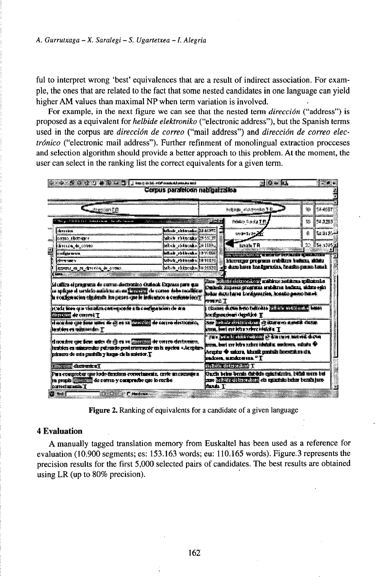ful to interpret wrong 'best' equivalences that are a result of indirect association. For example, the ones that are related to the fact that some nested candidates in one language can yield higher AM values than maximal NP when term variation is involved.

For example, in the next figure we can see that the nested term *dirección* ("address") is proposed as a equivalent for *helbide elektroniko* ("electronic address"), but the Spanish terms used in the corpus are dirección de correo ("mail address") and dirección de correo electrónico ("electronic mail address"). Further refinment of monolingual extraction procceses and selection algorithm should provide a better approach to this problem. At the moment, the user can select in the ranking list the correct equivalents for a given term.

| we will be a completely as the second of the complete of the complete second second second second second second                                                                                                                                                                                                                                                                                                                                                     |                               |                                                                                  | ल ७० घर                                                                                                                                                                                                                              |                  |  |
|---------------------------------------------------------------------------------------------------------------------------------------------------------------------------------------------------------------------------------------------------------------------------------------------------------------------------------------------------------------------------------------------------------------------------------------------------------------------|-------------------------------|----------------------------------------------------------------------------------|--------------------------------------------------------------------------------------------------------------------------------------------------------------------------------------------------------------------------------------|------------------|--|
|                                                                                                                                                                                                                                                                                                                                                                                                                                                                     | Corpus paralekem nab paizakia |                                                                                  |                                                                                                                                                                                                                                      |                  |  |
| dresian (P                                                                                                                                                                                                                                                                                                                                                                                                                                                          |                               | bridge subcoming T.D                                                             |                                                                                                                                                                                                                                      | 徽<br>51-0531     |  |
| K, BND go in CSSS SS S is S in Children & a dansaion in Science Active science                                                                                                                                                                                                                                                                                                                                                                                      |                               | 20 July 1                                                                        | Printey Castle T.P                                                                                                                                                                                                                   | 54.7383<br>w     |  |
| alimena sržinana                                                                                                                                                                                                                                                                                                                                                                                                                                                    | And Educator (1407)           |                                                                                  | <b>MARKETTI SAN</b>                                                                                                                                                                                                                  | 蠢<br>lanis       |  |
| karnas, <b>skarnas</b> ta                                                                                                                                                                                                                                                                                                                                                                                                                                           | which shingshould be mi       |                                                                                  |                                                                                                                                                                                                                                      |                  |  |
| <b>SHIRE &amp; SORG</b>                                                                                                                                                                                                                                                                                                                                                                                                                                             | bit-is richtschaft (HNz       |                                                                                  | ์ เระว <i>ั</i> ะ TR                                                                                                                                                                                                                 | <b>12 Beares</b> |  |
| indus www                                                                                                                                                                                                                                                                                                                                                                                                                                                           | Mink ruthvake 197.De          |                                                                                  | <u> Tangang Kana ya mwaka 1978, mshi wa shi na 1989 a 1980 a 1980 a 1980 a 1980 a 1980 a 1980 a 1980 a 1980 a 1980 a 1980 a 1980 a 1980 a 1980 a 1980 a 1980 a 1980 a 1980 a 1980 a 1980 a 1980 a 1980 a 1980 a 1980 a 1980 a 19</u> |                  |  |
| i dinama manar ne                                                                                                                                                                                                                                                                                                                                                                                                                                                   | Milada ratmanha 3891611       |                                                                                  | klassungan programa srubilizma badanu, uklaisi                                                                                                                                                                                       |                  |  |
|                                                                                                                                                                                                                                                                                                                                                                                                                                                                     |                               | jeh dum kerea tzadenmulas, Pasados pauzo hanab<br><b>Selon chimshalls (1831)</b> |                                                                                                                                                                                                                                      |                  |  |
|                                                                                                                                                                                                                                                                                                                                                                                                                                                                     |                               | <b>RIVERS T</b>                                                                  | Rese of Contractors of antistro assistant or Statutes<br>Curbek fixones sreguus entdirm bedica, ekita edo<br>hiku dan hana bangaranga, kasaba pang hawi:                                                                             |                  |  |
|                                                                                                                                                                                                                                                                                                                                                                                                                                                                     |                               |                                                                                  | (Dates drawn hero habouts )   Property in the Luss                                                                                                                                                                                   |                  |  |
| <b>Issued a a divide A cont</b><br>Si dilita el pregunta de corro destrucion (Inidoci: Exposso para que<br>a qilga d urdik adshe man <u>1999 d</u> i cons dibi malkar<br>la conferencia cinemata los primeiros le lesborgos a conferencial<br>je, a če biora opar voji odliča čast napolačak ji ila s načinja tekan i čar je aj a<br><b>RETURN de cerre-1 T</b><br>of and the case from mass the cy on an increased de correct stationing<br>Jestém en missierdes T |                               |                                                                                  | kordonudeni danške T<br>And the commission of she are another factor.<br>home, bort est letten eber inhalte. I                                                                                                                       |                  |  |
|                                                                                                                                                                                                                                                                                                                                                                                                                                                                     |                               |                                                                                  | THE TELEVISION OF CALIFORNIA CO.<br>रेल्ला, एका रात दिवेष प्रतीनर स्त्रिवेदी हा सामनिका, समितीय भी<br>Arantur © sakura, kiteaik santala kosozatan da.<br><b>SECONE, EXCALUSION, "T</b>                                               |                  |  |
| d seader get free ader de @ es 14 22222 de corre derteuro.<br>štratska na minostodno polomsko povi minoratske tak iz najbra - Ac metro-<br>instances site and a parabolic $\gamma$ is report the last section . $\Gamma$<br><b>INSTALL CONTROLLER</b>                                                                                                                                                                                                               |                               |                                                                                  | <b>THE SECRET TO T</b>                                                                                                                                                                                                               |                  |  |

Figure 2. Ranking of equivalents for a candidate of a given language

## **4 Evaluation**

A manually tagged translation memory from Euskaltel has been used as a reference for evaluation (10.900 segments; es: 153.163 words; eu: 110.165 words). Figure 3 represents the precision results for the first 5,000 selected pairs of candidates. The best results are obtained using LR (up to  $80\%$  precision).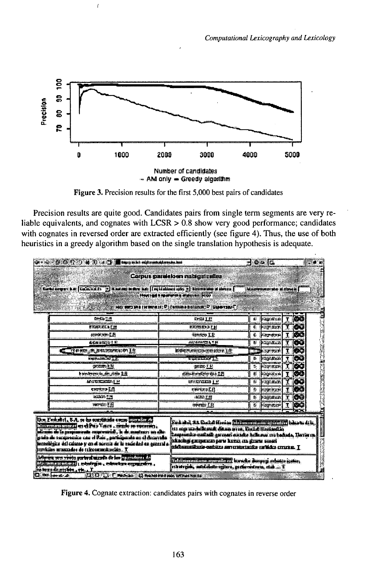

 $\overline{1}$ 

Figure 3. Precision results for the first 5,000 best pairs of candidates

Precision results are quite good. Candidates pairs from single term segments are very reliable equivalents, and cognates with LCSR  $> 0.8$  show very good performance; candidates with cognates in reversed order are extracted efficiently (see figure 4). Thus, the use of both heuristics in a greedy algorithm based on the single translation hypothesis is adequate.

|                                                                                                                                                                                                                                                                                                                                                                                                                                             |                                                                                                                                                                                                                                                                                |   | Ploto le                                     |   |                    |
|---------------------------------------------------------------------------------------------------------------------------------------------------------------------------------------------------------------------------------------------------------------------------------------------------------------------------------------------------------------------------------------------------------------------------------------------|--------------------------------------------------------------------------------------------------------------------------------------------------------------------------------------------------------------------------------------------------------------------------------|---|----------------------------------------------|---|--------------------|
| Corks compart from Disclosion for the Monday in their lines of existence unity of the member of sheets of                                                                                                                                                                                                                                                                                                                                   | Corpus marakkan nabigat palaa                                                                                                                                                                                                                                                  |   | Magnesium sin al cone a [                    |   |                    |
|                                                                                                                                                                                                                                                                                                                                                                                                                                             | Horsed Emergen extern 100<br>Thatrees of the statistic distance of the statistic DM                                                                                                                                                                                            |   |                                              |   |                    |
| 路线管理器                                                                                                                                                                                                                                                                                                                                                                                                                                       | DEILE                                                                                                                                                                                                                                                                          |   | <b>District Control</b>                      |   | (www               |
| <b>EKARELL CH</b>                                                                                                                                                                                                                                                                                                                                                                                                                           | <b>EXHIBITE</b>                                                                                                                                                                                                                                                                |   | к розчани                                    |   | 1760               |
| standi unu E.B.                                                                                                                                                                                                                                                                                                                                                                                                                             | tension LE                                                                                                                                                                                                                                                                     |   | d parment                                    |   | $I$ 60             |
| <b>BEATHER</b> IS NO                                                                                                                                                                                                                                                                                                                                                                                                                        | <b>HAVEISPEN TEL</b>                                                                                                                                                                                                                                                           |   | a bostana                                    | Ŧ | تهي                |
| <b>THERE A SATISFIES ON IN</b>                                                                                                                                                                                                                                                                                                                                                                                                              | BSO FILOOPEPIA                                                                                                                                                                                                                                                                 |   | <b>TELETIN</b>                               |   | I(50)              |
| expression Tity                                                                                                                                                                                                                                                                                                                                                                                                                             | <b>PARTICULE</b>                                                                                                                                                                                                                                                               |   | $B$ Pay Fre                                  |   | $\mathbf{T}^{(n)}$ |
| <b>VETCHING &amp; AL</b>                                                                                                                                                                                                                                                                                                                                                                                                                    | <b>ISSUED: 1 11</b>                                                                                                                                                                                                                                                            |   | 5. POWER                                     |   | T DO               |
| letenskervez ka die plaita 1181                                                                                                                                                                                                                                                                                                                                                                                                             | <b>Allament reviews</b>                                                                                                                                                                                                                                                        |   | # Popular                                    | T | 195                |
| <b>MODERNIE H</b>                                                                                                                                                                                                                                                                                                                                                                                                                           | <b>INISYSES IF</b>                                                                                                                                                                                                                                                             | 整 | <b>NEW WAY</b>                               |   | <u>moo</u>         |
| evorino Efi                                                                                                                                                                                                                                                                                                                                                                                                                                 | swinner.                                                                                                                                                                                                                                                                       |   | <b>POST PARK</b>                             |   | T <b>OU</b>        |
| <b>IEXEDS STR</b>                                                                                                                                                                                                                                                                                                                                                                                                                           | <b>最新天线</b>                                                                                                                                                                                                                                                                    |   | n jingmaan                                   | Ŧ | TG O               |
| कल्यात है मि                                                                                                                                                                                                                                                                                                                                                                                                                                | приказ Г.Н.                                                                                                                                                                                                                                                                    |   | $\overline{1}$ $\overline{1}$ $\overline{1}$ |   | <b>TIOO</b>        |
|                                                                                                                                                                                                                                                                                                                                                                                                                                             |                                                                                                                                                                                                                                                                                |   |                                              |   |                    |
| Use Faskelly, S.A. re he considered a sense and since the<br><b>Construction of the Viere, right or operators</b><br><u> Die Die Bilder von der der der Schrijver van die gewensen die gewensen die gewensen die gewensen die gewensen ge</u><br><u>ی بان که از به بار مرتباط <sub>د</sub> بند؟ از بدن مخورشده به دادن</u><br><b>jeznali gar del criano y as di norris de la recircia del ca gran si</b><br>buvisin mundo di ukomalariki. T | Redakti, AA Raska filmin "A bili territori period" ("I baharta di ki,<br>iu, ma ma hilamak Sana arra, Brita ilirin da<br>begünia natuk gama serita kilena m bakat. Daram i<br>skaslan zbermenin doʻn kemo, itu ditiril bilind<br>didasesibus estatu sentrentsio relido muna. T |   |                                              |   |                    |
| bolignara pera printa guntanal memba da bas proposition e la f<br>i filman sistema mendialah kepada dengan pelakan katang<br>to a contract and probabilities, education experiences,<br>interijsk, med datur jarn, prekonistona, stab  T<br>en berno de receben, erb., . T.<br>$D = L_{\text{rel}}$ $D = 300 \, \text{U}$ $T$ was described as present                                                                                      |                                                                                                                                                                                                                                                                                |   |                                              |   |                    |

Figure 4. Cognate extraction: candidates pairs with cognates in reverse order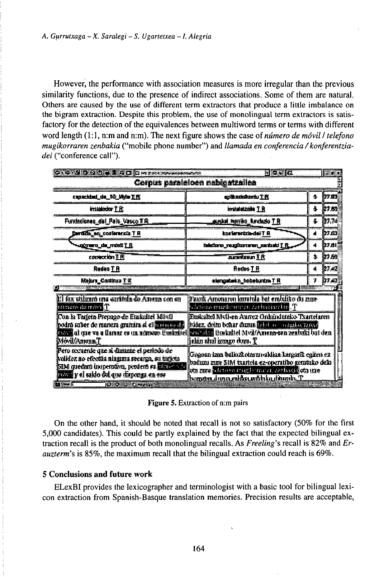However, the performance with association measures is more irregular than the previous similarity functions, due to the presence of indirect associations. Some of them are natural. Others are caused by the use of different term extractors that produce a little imbalance on the bigram extraction. Despite this problem, the use of monolingual term extractors is satisfactory for the detection of the equivalences between multiword terms or terms with different word length (1:1, n:m and n:m). The next figure shows the case of *número de móvil I telefono* mugikorraren zenbakia ("mobile phone number") and llamada en conferencia / konferentziadei ("conference call").

| GILD MICHAEL AC DETECTOR PROVIDE                                                                                                                                                                                                                                                                                                                                                      | 同口を図                                                                                                                                                                                          |    | ر جو ارا       |  |  |  |
|---------------------------------------------------------------------------------------------------------------------------------------------------------------------------------------------------------------------------------------------------------------------------------------------------------------------------------------------------------------------------------------|-----------------------------------------------------------------------------------------------------------------------------------------------------------------------------------------------|----|----------------|--|--|--|
| Corpus paraleloen nabigatzailea                                                                                                                                                                                                                                                                                                                                                       |                                                                                                                                                                                               |    |                |  |  |  |
| capacidad da 90 Meta T.R                                                                                                                                                                                                                                                                                                                                                              | azik srinê neh T FC                                                                                                                                                                           | ÷. | 27.83          |  |  |  |
| traisicós T.R.                                                                                                                                                                                                                                                                                                                                                                        | irudaasin T A                                                                                                                                                                                 | A. | 控制的            |  |  |  |
| Fundaciones del Per Vesco TR                                                                                                                                                                                                                                                                                                                                                          | gunan metah tartasa T.R                                                                                                                                                                       | 灄  | 27.74          |  |  |  |
| <b>Cardida, era contenerata T R</b>                                                                                                                                                                                                                                                                                                                                                   | ksekennisia dell'I R                                                                                                                                                                          |    | h7.65          |  |  |  |
| ≒ <u>ugiyuuro da mosil T R</u>                                                                                                                                                                                                                                                                                                                                                        | behalteren reugikturteren, markt sich T. F.                                                                                                                                                   | л. | セアカト           |  |  |  |
| convection T FC                                                                                                                                                                                                                                                                                                                                                                       | newiren 18                                                                                                                                                                                    | d. | 27.50          |  |  |  |
| <b>Reden T R</b>                                                                                                                                                                                                                                                                                                                                                                      | <b>Redes T R</b>                                                                                                                                                                              | 4. | 27.42          |  |  |  |
| Majora Casticus T R                                                                                                                                                                                                                                                                                                                                                                   | atengabako bebelurtra T.R                                                                                                                                                                     | 7  | <b>DAT RES</b> |  |  |  |
| 1:1 fax piileară una carâtula do Ameria con eu<br><b>NUMBER OF STRIPS</b>                                                                                                                                                                                                                                                                                                             | Paark Amenaren kuratula bat erekuliko du zune.<br>$\rm 1$ deiaso muzikaturan zarbaian bu $\rm T$                                                                                              |    |                |  |  |  |
| Fuskakel Mytl-en Aamez Onkandunko Txanelaren<br>Con la Taricia Prejago de Euskaliei Móvil<br>podrà saber de manera gramin el el minimit.<br>bishez, deim behar dirain is all reconsiderations.<br><mark>a ko j</mark> al gae va a llarar es un arrivan Euskaliel <mark>vari attu</mark> Brakaliel Modr'Arsana-sun zeaboki bui den<br><b>Móvil(Amera T</b><br>jekin ehal izmgo dusa. T |                                                                                                                                                                                               |    |                |  |  |  |
| Pero occaente que si dimante el periodo de<br>kvildez no efectu ninguru secarga, su tarkva<br><b>SIM quedaru inoperativa, perdera va <mark>a</mark>ttras a la</b><br>The special relationship of the control of the state of the state of the state of the state of the state of the<br>$\mathbb{R}$ and $\mathbb{R}$<br><b>COLORED FUNCTION</b>                                      | Giozoan izm balkat otzen-akhat kangarit egiten ez<br>baduzu zure SIM txartela ez-operatibo pemrako delo<br>oni da istorica ne ci sua distribuito e ci di<br>bemsen dimmedika wanka dininki. T |    |                |  |  |  |

Figure 5. Extraction of n:m pairs

On the other hand, it should be noted that recall is not so satisfactory (50% for the first 5,000 candidates). This could be partly explained by the fact that the expected bilingual extraction recall is the product of both monolingual recalls. As Freeling's recall is 82% and Er*auzterm*'s is 85%, the maximum recall that the bilingual extraction could reach is 69%.

### 5 Conclusions and future work

ELexBI provides the lexicographer and terminologist with a basic tool for bilingual lexicon extraction from Spanish-Basque translation memories. Precision results are acceptable,